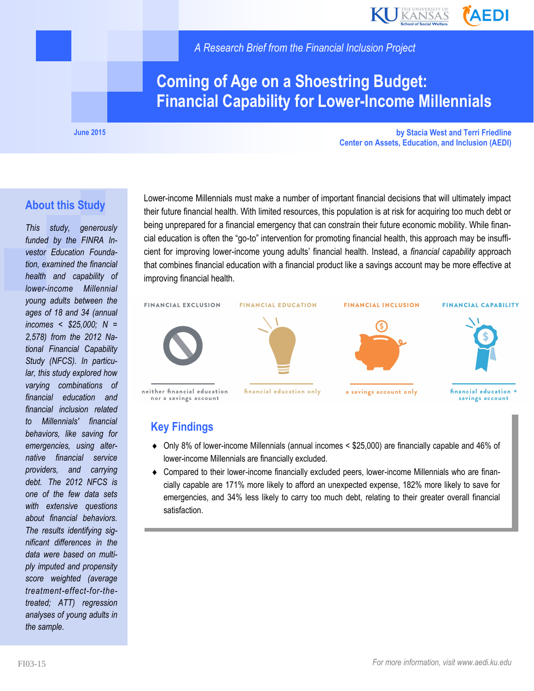

*A Research Brief from the Financial Inclusion Project*

# **Coming of Age on a Shoestring Budget: Financial Capability for Lower-Income Millennials**

**June 2015**

**by Stacia West and Terri Friedline Center on Assets, Education, and Inclusion (AEDI)**

#### **About this Study**

*This study, generously funded by the FINRA Investor Education Foundation, examined the financial health and capability of lower-income Millennial young adults between the ages of 18 and 34 (annual incomes < \$25,000; N = 2,578) from the 2012 National Financial Capability Study (NFCS). In particular, this study explored how varying combinations of financial education and financial inclusion related to Millennials' financial behaviors, like saving for emergencies, using alternative financial service providers, and carrying debt. The 2012 NFCS is one of the few data sets with extensive questions about financial behaviors. The results identifying significant differences in the data were based on multiply imputed and propensity score weighted (average treatment-effect-for-thetreated; ATT) regression analyses of young adults in the sample.*

Lower-income Millennials must make a number of important financial decisions that will ultimately impact their future financial health. With limited resources, this population is at risk for acquiring too much debt or being unprepared for a financial emergency that can constrain their future economic mobility. While financial education is often the "go-to" intervention for promoting financial health, this approach may be insufficient for improving lower-income young adults' financial health. Instead, a *financial capability* approach that combines financial education with a financial product like a savings account may be more effective at improving financial health.



#### **Key Findings**

- Only 8% of lower-income Millennials (annual incomes < \$25,000) are financially capable and 46% of lower-income Millennials are financially excluded.
- Compared to their lower-income financially excluded peers, lower-income Millennials who are financially capable are 171% more likely to afford an unexpected expense, 182% more likely to save for emergencies, and 34% less likely to carry too much debt, relating to their greater overall financial satisfaction.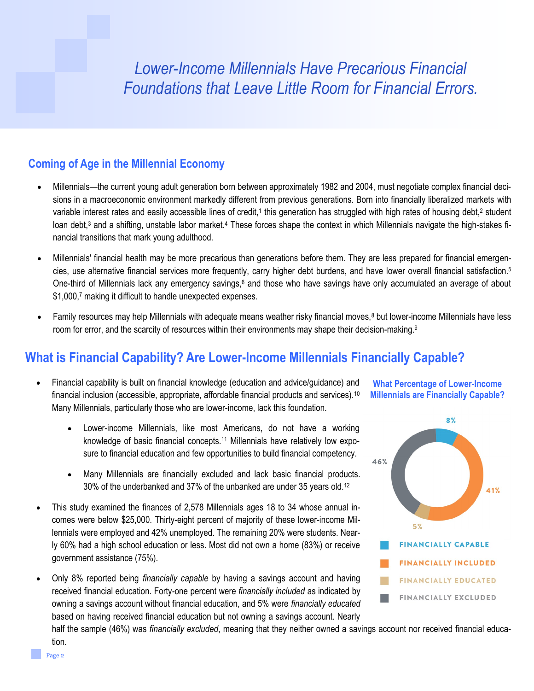# *Lower-Income Millennials Have Precarious Financial Foundations that Leave Little Room for Financial Errors.*

#### **Coming of Age in the Millennial Economy**

- Millennials—the current young adult generation born between approximately 1982 and 2004, must negotiate complex financial decisions in a macroeconomic environment markedly different from previous generations. Born into financially liberalized markets with variable interest rates and easily accessible lines of credit,<sup>1</sup> this generation has struggled with high rates of housing debt,<sup>2</sup> student loan debt,<sup>3</sup> and a shifting, unstable labor market.<sup>4</sup> These forces shape the context in which Millennials navigate the high-stakes financial transitions that mark young adulthood.
- Millennials' financial health may be more precarious than generations before them. They are less prepared for financial emergencies, use alternative financial services more frequently, carry higher debt burdens, and have lower overall financial satisfaction.<sup>5</sup> One-third of Millennials lack any emergency savings,<sup>6</sup> and those who have savings have only accumulated an average of about \$1,000,7 making it difficult to handle unexpected expenses.
- Family resources may help Millennials with adequate means weather risky financial moves,<sup>8</sup> but lower-income Millennials have less room for error, and the scarcity of resources within their environments may shape their decision-making.<sup>9</sup>

### **What is Financial Capability? Are Lower-Income Millennials Financially Capable?**

- Financial capability is built on financial knowledge (education and advice/guidance) and financial inclusion (accessible, appropriate, affordable financial products and services).<sup>10</sup> Many Millennials, particularly those who are lower-income, lack this foundation.
	- Lower-income Millennials, like most Americans, do not have a working knowledge of basic financial concepts.<sup>11</sup> Millennials have relatively low exposure to financial education and few opportunities to build financial competency.
	- Many Millennials are financially excluded and lack basic financial products. 30% of the underbanked and 37% of the unbanked are under 35 years old.<sup>12</sup>
- This study examined the finances of 2,578 Millennials ages 18 to 34 whose annual incomes were below \$25,000. Thirty-eight percent of majority of these lower-income Millennials were employed and 42% unemployed. The remaining 20% were students. Nearly 60% had a high school education or less. Most did not own a home (83%) or receive government assistance (75%).
- Only 8% reported being *financially capable* by having a savings account and having received financial education. Forty-one percent were *financially included* as indicated by owning a savings account without financial education, and 5% were *financially educated* based on having received financial education but not owning a savings account. Nearly





half the sample (46%) was *financially excluded*, meaning that they neither owned a savings account nor received financial education.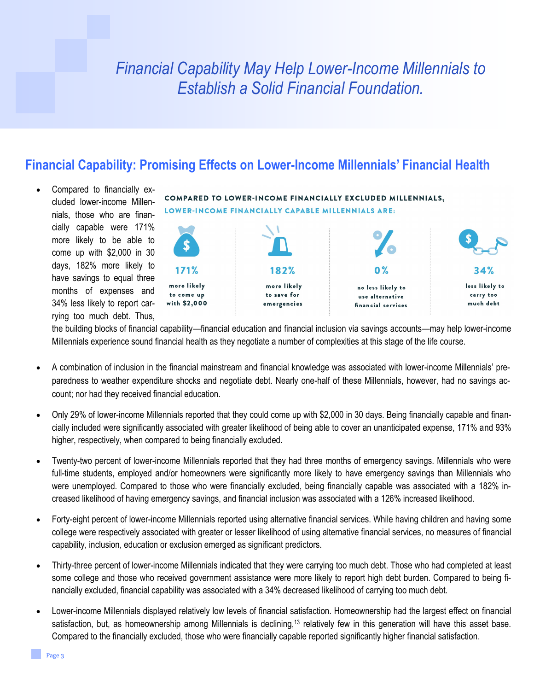# *Financial Capability May Help Lower-Income Millennials to Establish a Solid Financial Foundation.*

### **Financial Capability: Promising Effects on Lower-Income Millennials' Financial Health**

 Compared to financially excluded lower-income Millennials, those who are financially capable were 171% more likely to be able to come up with \$2,000 in 30 days, 182% more likely to have savings to equal three months of expenses and 34% less likely to report carrying too much debt. Thus,

COMPARED TO LOWER-INCOME FINANCIALLY EXCLUDED MILLENNIALS, LOWER-INCOME FINANCIALLY CAPABLE MILLENNIALS ARE:



the building blocks of financial capability—financial education and financial inclusion via savings accounts—may help lower-income Millennials experience sound financial health as they negotiate a number of complexities at this stage of the life course.

- A combination of inclusion in the financial mainstream and financial knowledge was associated with lower-income Millennials' preparedness to weather expenditure shocks and negotiate debt. Nearly one-half of these Millennials, however, had no savings account; nor had they received financial education.
- Only 29% of lower-income Millennials reported that they could come up with \$2,000 in 30 days. Being financially capable and financially included were significantly associated with greater likelihood of being able to cover an unanticipated expense, 171% and 93% higher, respectively, when compared to being financially excluded.
- Twenty-two percent of lower-income Millennials reported that they had three months of emergency savings. Millennials who were full-time students, employed and/or homeowners were significantly more likely to have emergency savings than Millennials who were unemployed. Compared to those who were financially excluded, being financially capable was associated with a 182% increased likelihood of having emergency savings, and financial inclusion was associated with a 126% increased likelihood.
- Forty-eight percent of lower-income Millennials reported using alternative financial services. While having children and having some college were respectively associated with greater or lesser likelihood of using alternative financial services, no measures of financial capability, inclusion, education or exclusion emerged as significant predictors.
- Thirty-three percent of lower-income Millennials indicated that they were carrying too much debt. Those who had completed at least some college and those who received government assistance were more likely to report high debt burden. Compared to being financially excluded, financial capability was associated with a 34% decreased likelihood of carrying too much debt.
- Lower-income Millennials displayed relatively low levels of financial satisfaction. Homeownership had the largest effect on financial satisfaction, but, as homeownership among Millennials is declining,<sup>13</sup> relatively few in this generation will have this asset base. Compared to the financially excluded, those who were financially capable reported significantly higher financial satisfaction.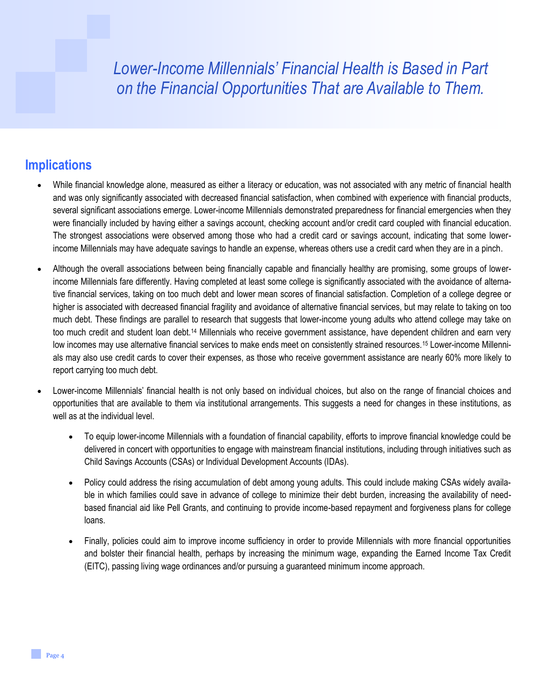## *Lower-Income Millennials' Financial Health is Based in Part on the Financial Opportunities That are Available to Them.*

#### **Implications**

- While financial knowledge alone, measured as either a literacy or education, was not associated with any metric of financial health and was only significantly associated with decreased financial satisfaction, when combined with experience with financial products, several significant associations emerge. Lower-income Millennials demonstrated preparedness for financial emergencies when they were financially included by having either a savings account, checking account and/or credit card coupled with financial education. The strongest associations were observed among those who had a credit card or savings account, indicating that some lowerincome Millennials may have adequate savings to handle an expense, whereas others use a credit card when they are in a pinch.
- Although the overall associations between being financially capable and financially healthy are promising, some groups of lowerincome Millennials fare differently. Having completed at least some college is significantly associated with the avoidance of alternative financial services, taking on too much debt and lower mean scores of financial satisfaction. Completion of a college degree or higher is associated with decreased financial fragility and avoidance of alternative financial services, but may relate to taking on too much debt. These findings are parallel to research that suggests that lower-income young adults who attend college may take on too much credit and student loan debt.<sup>14</sup> Millennials who receive government assistance, have dependent children and earn very low incomes may use alternative financial services to make ends meet on consistently strained resources.<sup>15</sup> Lower-income Millennials may also use credit cards to cover their expenses, as those who receive government assistance are nearly 60% more likely to report carrying too much debt.
- Lower-income Millennials' financial health is not only based on individual choices, but also on the range of financial choices and opportunities that are available to them via institutional arrangements. This suggests a need for changes in these institutions, as well as at the individual level.
	- To equip lower-income Millennials with a foundation of financial capability, efforts to improve financial knowledge could be delivered in concert with opportunities to engage with mainstream financial institutions, including through initiatives such as Child Savings Accounts (CSAs) or Individual Development Accounts (IDAs).
	- Policy could address the rising accumulation of debt among young adults. This could include making CSAs widely available in which families could save in advance of college to minimize their debt burden, increasing the availability of needbased financial aid like Pell Grants, and continuing to provide income-based repayment and forgiveness plans for college loans.
	- Finally, policies could aim to improve income sufficiency in order to provide Millennials with more financial opportunities and bolster their financial health, perhaps by increasing the minimum wage, expanding the Earned Income Tax Credit (EITC), passing living wage ordinances and/or pursuing a guaranteed minimum income approach.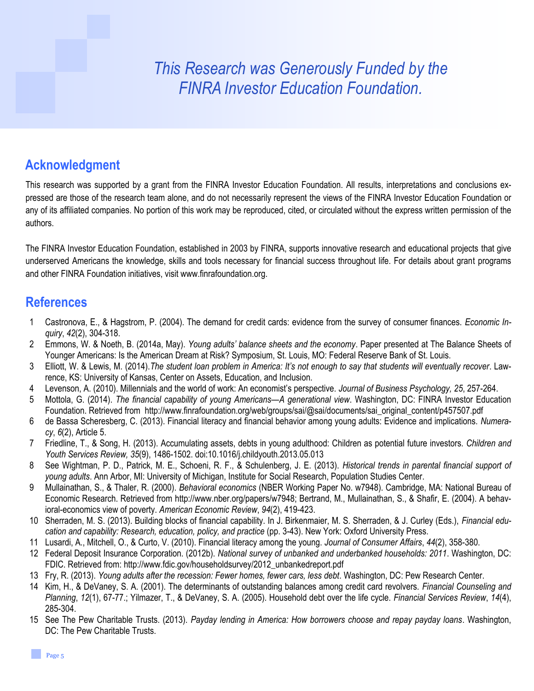# *This Research was Generously Funded by the FINRA Investor Education Foundation.*

### **Acknowledgment**

This research was supported by a grant from the FINRA Investor Education Foundation. All results, interpretations and conclusions expressed are those of the research team alone, and do not necessarily represent the views of the FINRA Investor Education Foundation or any of its affiliated companies. No portion of this work may be reproduced, cited, or circulated without the express written permission of the authors.

The FINRA Investor Education Foundation, established in 2003 by FINRA, supports innovative research and educational projects that give underserved Americans the knowledge, skills and tools necessary for financial success throughout life. For details about grant programs and other FINRA Foundation initiatives, visit www.finrafoundation.org.

### **References**

- 1 Castronova, E., & Hagstrom, P. (2004). The demand for credit cards: evidence from the survey of consumer finances. *Economic Inquiry*, *42*(2), 304-318.
- 2 Emmons, W. & Noeth, B. (2014a, May). *Young adults' balance sheets and the economy*. Paper presented at The Balance Sheets of Younger Americans: Is the American Dream at Risk? Symposium, St. Louis, MO: Federal Reserve Bank of St. Louis.
- 3 Elliott, W. & Lewis, M. (2014).*The student loan problem in America: It's not enough to say that students will eventually recover*. Lawrence, KS: University of Kansas, Center on Assets, Education, and Inclusion.
- 4 Levenson, A. (2010). Millennials and the world of work: An economist's perspective. *Journal of Business Psychology, 25*, 257-264.
- 5 Mottola, G. (2014). *The financial capability of young Americans—A generational view*. Washington, DC: FINRA Investor Education Foundation. Retrieved from [http://www.finrafoundation.org/web/groups/sai/@sai/documents/sai\\_original\\_content/p457507.pdf](http://www.finrafoundation.org/web/groups/sai/@sai/documents/sai_original_content/p457507.pdf)
- 6 de Bassa Scheresberg, C. (2013). Financial literacy and financial behavior among young adults: Evidence and implications. *Numeracy*, *6*(2), Article 5.
- 7 Friedline, T., & Song, H. (2013). Accumulating assets, debts in young adulthood: Children as potential future investors*. Children and Youth Services Review, 35*(9), 1486-1502. doi:10.1016/j.childyouth.2013.05.013
- 8 See Wightman, P. D., Patrick, M. E., Schoeni, R. F., & Schulenberg, J. E. (2013). *Historical trends in parental financial support of young adults*. Ann Arbor, MI: University of Michigan, Institute for Social Research, Population Studies Center.
- 9 Mullainathan, S., & Thaler, R. (2000). *Behavioral economics* (NBER Working Paper No. w7948). Cambridge, MA: National Bureau of Economic Research. Retrieved from [http://www.nber.org/papers/w7948;](http://www.nber.org/papers/w7948) Bertrand, M., Mullainathan, S., & Shafir, E. (2004). A behavioral-economics view of poverty. *American Economic Review*, *94*(2), 419-423.
- 10 Sherraden, M. S. (2013). Building blocks of financial capability. In J. Birkenmaier, M. S. Sherraden, & J. Curley (Eds.), *Financial education and capability: Research, education, policy, and practice* (pp. 3-43). New York: Oxford University Press.
- 11 Lusardi, A., Mitchell, O., & Curto, V. (2010). Financial literacy among the young. *Journal of Consumer Affairs*, *44*(2), 358-380.
- 12 Federal Deposit Insurance Corporation. (2012b). *National survey of unbanked and underbanked households: 2011*. Washington, DC: FDIC. Retrieved from: [http://www.fdic.gov/householdsurvey/2012\\_unbankedreport.pdf](http://www.fdic.gov/householdsurvey/2012_unbankedreport.pdf)
- 13 Fry, R. (2013). *Young adults after the recession: Fewer homes, fewer cars, less debt*. Washington, DC: Pew Research Center.
- 14 Kim, H., & DeVaney, S. A. (2001). The determinants of outstanding balances among credit card revolvers. *Financial Counseling and Planning*, *12*(1), 67-77.; Yilmazer, T., & DeVaney, S. A. (2005). Household debt over the life cycle. *Financial Services Review*, *14*(4), 285-304.
- 15 See The Pew Charitable Trusts. (2013). *Payday lending in America: How borrowers choose and repay payday loans*. Washington, DC: The Pew Charitable Trusts.